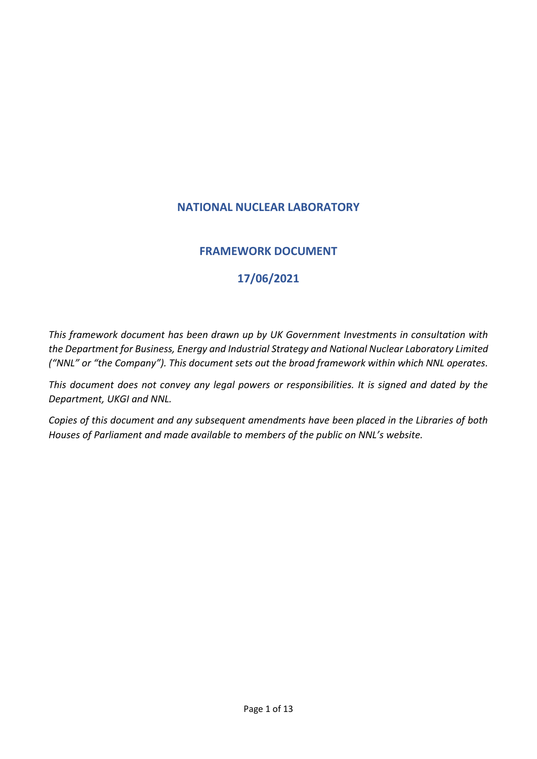# **NATIONAL NUCLEAR LABORATORY**

# **FRAMEWORK DOCUMENT**

# **17/06/2021**

*This framework document has been drawn up by UK Government Investments in consultation with the Department for Business, Energy and Industrial Strategy and National Nuclear Laboratory Limited ("NNL" or "the Company"). This document sets out the broad framework within which NNL operates.* 

*This document does not convey any legal powers or responsibilities. It is signed and dated by the Department, UKGI and NNL.* 

*Copies of this document and any subsequent amendments have been placed in the Libraries of both Houses of Parliament and made available to members of the public on NNL's website.*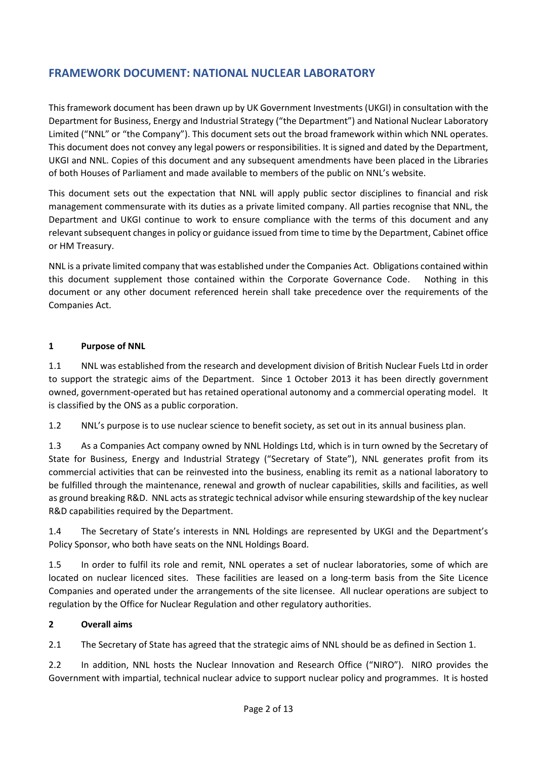# **FRAMEWORK DOCUMENT: NATIONAL NUCLEAR LABORATORY**

This framework document has been drawn up by UK Government Investments (UKGI) in consultation with the Department for Business, Energy and Industrial Strategy ("the Department") and National Nuclear Laboratory Limited ("NNL" or "the Company"). This document sets out the broad framework within which NNL operates. This document does not convey any legal powers or responsibilities. It is signed and dated by the Department, UKGI and NNL. Copies of this document and any subsequent amendments have been placed in the Libraries of both Houses of Parliament and made available to members of the public on NNL's website.

This document sets out the expectation that NNL will apply public sector disciplines to financial and risk management commensurate with its duties as a private limited company. All parties recognise that NNL, the Department and UKGI continue to work to ensure compliance with the terms of this document and any relevant subsequent changes in policy or guidance issued from time to time by the Department, Cabinet office or HM Treasury.

NNL is a private limited company that was established under the Companies Act. Obligations contained within this document supplement those contained within the Corporate Governance Code. Nothing in this document or any other document referenced herein shall take precedence over the requirements of the Companies Act.

## **1 Purpose of NNL**

1.1 NNL was established from the research and development division of British Nuclear Fuels Ltd in order to support the strategic aims of the Department. Since 1 October 2013 it has been directly government owned, government-operated but has retained operational autonomy and a commercial operating model. It is classified by the ONS as a public corporation.

1.2 NNL's purpose is to use nuclear science to benefit society, as set out in its annual business plan.

1.3 As a Companies Act company owned by NNL Holdings Ltd, which is in turn owned by the Secretary of State for Business, Energy and Industrial Strategy ("Secretary of State"), NNL generates profit from its commercial activities that can be reinvested into the business, enabling its remit as a national laboratory to be fulfilled through the maintenance, renewal and growth of nuclear capabilities, skills and facilities, as well as ground breaking R&D. NNL acts as strategic technical advisor while ensuring stewardship of the key nuclear R&D capabilities required by the Department.

1.4 The Secretary of State's interests in NNL Holdings are represented by UKGI and the Department's Policy Sponsor, who both have seats on the NNL Holdings Board.

1.5 In order to fulfil its role and remit, NNL operates a set of nuclear laboratories, some of which are located on nuclear licenced sites. These facilities are leased on a long-term basis from the Site Licence Companies and operated under the arrangements of the site licensee. All nuclear operations are subject to regulation by the Office for Nuclear Regulation and other regulatory authorities.

# **2 Overall aims**

2.1 The Secretary of State has agreed that the strategic aims of NNL should be as defined in Section 1.

2.2 In addition, NNL hosts the Nuclear Innovation and Research Office ("NIRO"). NIRO provides the Government with impartial, technical nuclear advice to support nuclear policy and programmes. It is hosted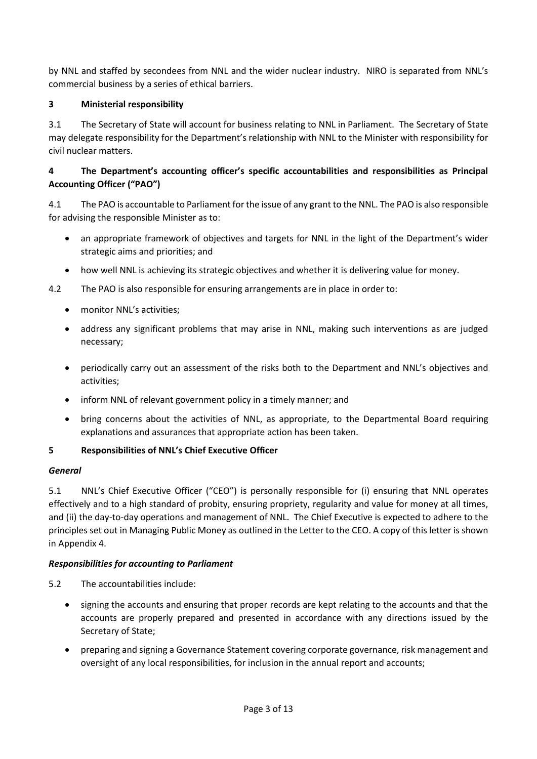by NNL and staffed by secondees from NNL and the wider nuclear industry. NIRO is separated from NNL's commercial business by a series of ethical barriers.

# **3 Ministerial responsibility**

3.1 The Secretary of State will account for business relating to NNL in Parliament. The Secretary of State may delegate responsibility for the Department's relationship with NNL to the Minister with responsibility for civil nuclear matters.

# **4 The Department's accounting officer's specific accountabilities and responsibilities as Principal Accounting Officer ("PAO")**

4.1 The PAO is accountable to Parliament for the issue of any grant to the NNL. The PAO is also responsible for advising the responsible Minister as to:

- an appropriate framework of objectives and targets for NNL in the light of the Department's wider strategic aims and priorities; and
- how well NNL is achieving its strategic objectives and whether it is delivering value for money.

4.2 The PAO is also responsible for ensuring arrangements are in place in order to:

- monitor NNL's activities;
- address any significant problems that may arise in NNL, making such interventions as are judged necessary;
- periodically carry out an assessment of the risks both to the Department and NNL's objectives and activities;
- inform NNL of relevant government policy in a timely manner; and
- bring concerns about the activities of NNL, as appropriate, to the Departmental Board requiring explanations and assurances that appropriate action has been taken.

# **5 Responsibilities of NNL's Chief Executive Officer**

# *General*

5.1 NNL's Chief Executive Officer ("CEO") is personally responsible for (i) ensuring that NNL operates effectively and to a high standard of probity, ensuring propriety, regularity and value for money at all times, and (ii) the day-to-day operations and management of NNL. The Chief Executive is expected to adhere to the principles set out in Managing Public Money as outlined in the Letter to the CEO. A copy of this letter is shown in Appendix 4.

# *Responsibilities for accounting to Parliament*

- 5.2 The accountabilities include:
	- signing the accounts and ensuring that proper records are kept relating to the accounts and that the accounts are properly prepared and presented in accordance with any directions issued by the Secretary of State;
	- preparing and signing a Governance Statement covering corporate governance, risk management and oversight of any local responsibilities, for inclusion in the annual report and accounts;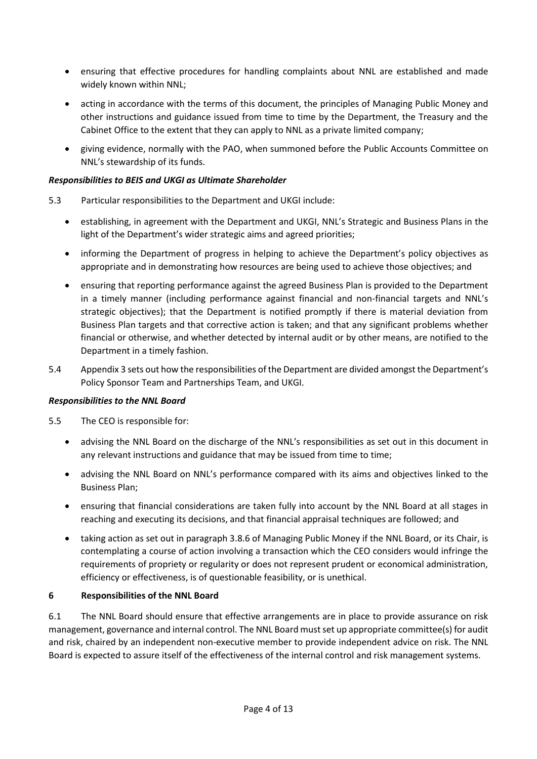- ensuring that effective procedures for handling complaints about NNL are established and made widely known within NNL;
- acting in accordance with the terms of this document, the principles of Managing Public Money and other instructions and guidance issued from time to time by the Department, the Treasury and the Cabinet Office to the extent that they can apply to NNL as a private limited company;
- giving evidence, normally with the PAO, when summoned before the Public Accounts Committee on NNL's stewardship of its funds.

## *Responsibilities to BEIS and UKGI as Ultimate Shareholder*

- 5.3 Particular responsibilities to the Department and UKGI include:
	- establishing, in agreement with the Department and UKGI, NNL's Strategic and Business Plans in the light of the Department's wider strategic aims and agreed priorities;
	- informing the Department of progress in helping to achieve the Department's policy objectives as appropriate and in demonstrating how resources are being used to achieve those objectives; and
	- ensuring that reporting performance against the agreed Business Plan is provided to the Department in a timely manner (including performance against financial and non-financial targets and NNL's strategic objectives); that the Department is notified promptly if there is material deviation from Business Plan targets and that corrective action is taken; and that any significant problems whether financial or otherwise, and whether detected by internal audit or by other means, are notified to the Department in a timely fashion.
- 5.4 Appendix 3 sets out how the responsibilities of the Department are divided amongst the Department's Policy Sponsor Team and Partnerships Team, and UKGI.

## *Responsibilities to the NNL Board*

5.5 The CEO is responsible for:

- advising the NNL Board on the discharge of the NNL's responsibilities as set out in this document in any relevant instructions and guidance that may be issued from time to time;
- advising the NNL Board on NNL's performance compared with its aims and objectives linked to the Business Plan;
- ensuring that financial considerations are taken fully into account by the NNL Board at all stages in reaching and executing its decisions, and that financial appraisal techniques are followed; and
- taking action as set out in paragraph 3.8.6 of Managing Public Money if the NNL Board, or its Chair, is contemplating a course of action involving a transaction which the CEO considers would infringe the requirements of propriety or regularity or does not represent prudent or economical administration, efficiency or effectiveness, is of questionable feasibility, or is unethical.

# **6 Responsibilities of the NNL Board**

6.1 The NNL Board should ensure that effective arrangements are in place to provide assurance on risk management, governance and internal control. The NNL Board must set up appropriate committee(s) for audit and risk, chaired by an independent non-executive member to provide independent advice on risk. The NNL Board is expected to assure itself of the effectiveness of the internal control and risk management systems.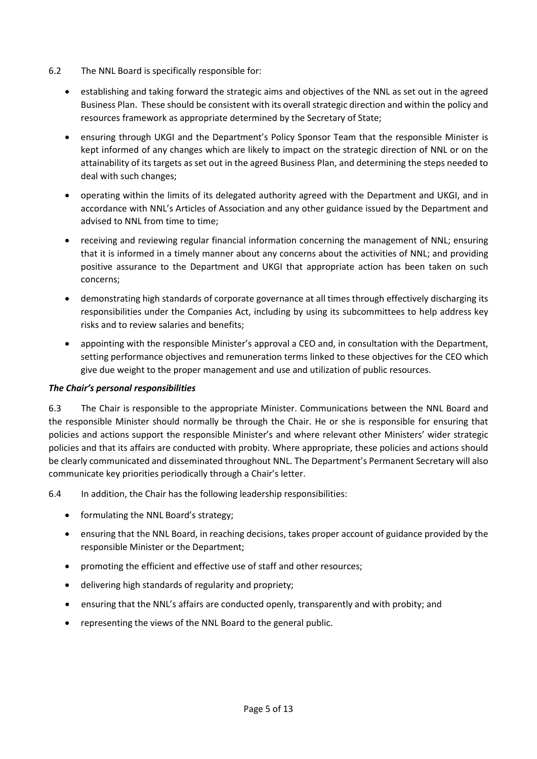- 6.2 The NNL Board is specifically responsible for:
	- establishing and taking forward the strategic aims and objectives of the NNL as set out in the agreed Business Plan. These should be consistent with its overall strategic direction and within the policy and resources framework as appropriate determined by the Secretary of State;
	- ensuring through UKGI and the Department's Policy Sponsor Team that the responsible Minister is kept informed of any changes which are likely to impact on the strategic direction of NNL or on the attainability of its targets as set out in the agreed Business Plan, and determining the steps needed to deal with such changes;
	- operating within the limits of its delegated authority agreed with the Department and UKGI, and in accordance with NNL's Articles of Association and any other guidance issued by the Department and advised to NNL from time to time;
	- receiving and reviewing regular financial information concerning the management of NNL; ensuring that it is informed in a timely manner about any concerns about the activities of NNL; and providing positive assurance to the Department and UKGI that appropriate action has been taken on such concerns;
	- demonstrating high standards of corporate governance at all times through effectively discharging its responsibilities under the Companies Act, including by using its subcommittees to help address key risks and to review salaries and benefits;
	- appointing with the responsible Minister's approval a CEO and, in consultation with the Department, setting performance objectives and remuneration terms linked to these objectives for the CEO which give due weight to the proper management and use and utilization of public resources.

## *The Chair's personal responsibilities*

6.3 The Chair is responsible to the appropriate Minister. Communications between the NNL Board and the responsible Minister should normally be through the Chair. He or she is responsible for ensuring that policies and actions support the responsible Minister's and where relevant other Ministers' wider strategic policies and that its affairs are conducted with probity. Where appropriate, these policies and actions should be clearly communicated and disseminated throughout NNL. The Department's Permanent Secretary will also communicate key priorities periodically through a Chair's letter.

6.4 In addition, the Chair has the following leadership responsibilities:

- formulating the NNL Board's strategy;
- ensuring that the NNL Board, in reaching decisions, takes proper account of guidance provided by the responsible Minister or the Department;
- promoting the efficient and effective use of staff and other resources;
- delivering high standards of regularity and propriety;
- ensuring that the NNL's affairs are conducted openly, transparently and with probity; and
- representing the views of the NNL Board to the general public.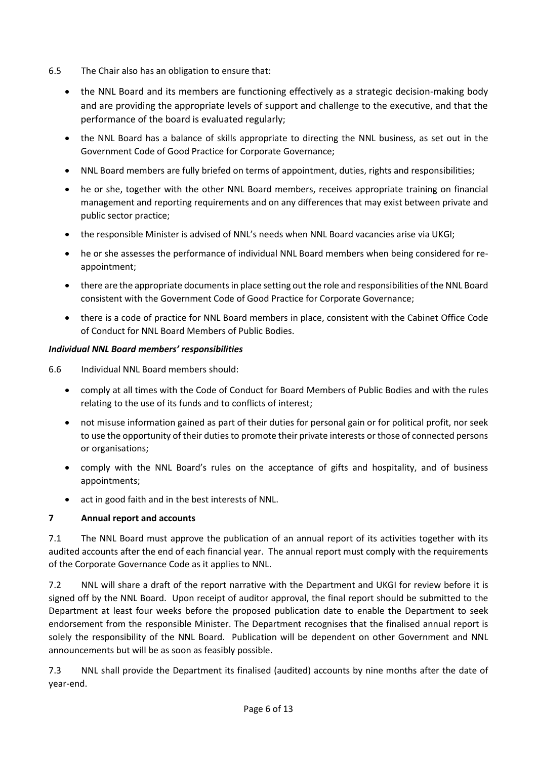- 6.5 The Chair also has an obligation to ensure that:
	- the NNL Board and its members are functioning effectively as a strategic decision-making body and are providing the appropriate levels of support and challenge to the executive, and that the performance of the board is evaluated regularly;
	- the NNL Board has a balance of skills appropriate to directing the NNL business, as set out in the Government Code of Good Practice for Corporate Governance;
	- NNL Board members are fully briefed on terms of appointment, duties, rights and responsibilities;
	- he or she, together with the other NNL Board members, receives appropriate training on financial management and reporting requirements and on any differences that may exist between private and public sector practice;
	- the responsible Minister is advised of NNL's needs when NNL Board vacancies arise via UKGI;
	- he or she assesses the performance of individual NNL Board members when being considered for reappointment;
	- there are the appropriate documents in place setting out the role and responsibilities of the NNL Board consistent with the Government Code of Good Practice for Corporate Governance;
	- there is a code of practice for NNL Board members in place, consistent with the Cabinet Office Code of Conduct for NNL Board Members of Public Bodies.

## *Individual NNL Board members' responsibilities*

6.6 Individual NNL Board members should:

- comply at all times with the Code of Conduct for Board Members of Public Bodies and with the rules relating to the use of its funds and to conflicts of interest;
- not misuse information gained as part of their duties for personal gain or for political profit, nor seek to use the opportunity of their duties to promote their private interests or those of connected persons or organisations;
- comply with the NNL Board's rules on the acceptance of gifts and hospitality, and of business appointments;
- act in good faith and in the best interests of NNL.

## **7 Annual report and accounts**

7.1 The NNL Board must approve the publication of an annual report of its activities together with its audited accounts after the end of each financial year. The annual report must comply with the requirements of the Corporate Governance Code as it applies to NNL.

7.2 NNL will share a draft of the report narrative with the Department and UKGI for review before it is signed off by the NNL Board. Upon receipt of auditor approval, the final report should be submitted to the Department at least four weeks before the proposed publication date to enable the Department to seek endorsement from the responsible Minister. The Department recognises that the finalised annual report is solely the responsibility of the NNL Board. Publication will be dependent on other Government and NNL announcements but will be as soon as feasibly possible.

7.3 NNL shall provide the Department its finalised (audited) accounts by nine months after the date of year-end.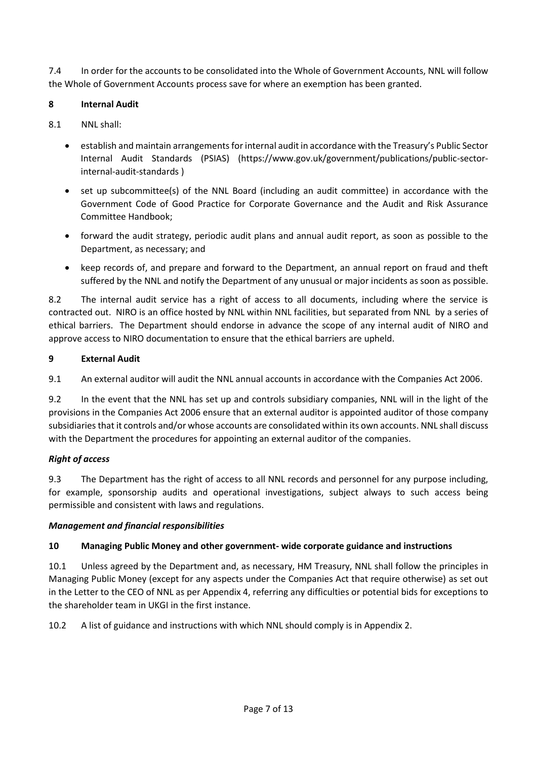7.4 In order for the accounts to be consolidated into the Whole of Government Accounts, NNL will follow the Whole of Government Accounts process save for where an exemption has been granted.

## **8 Internal Audit**

## 8.1 NNL shall:

- establish and maintain arrangements for internal audit in accordance with the Treasury's Public Sector Internal Audit Standards (PSIAS) (https://www.gov.uk/government/publications/public-sectorinternal-audit-standards )
- set up subcommittee(s) of the NNL Board (including an audit committee) in accordance with the Government Code of Good Practice for Corporate Governance and the Audit and Risk Assurance Committee Handbook;
- forward the audit strategy, periodic audit plans and annual audit report, as soon as possible to the Department, as necessary; and
- keep records of, and prepare and forward to the Department, an annual report on fraud and theft suffered by the NNL and notify the Department of any unusual or major incidents as soon as possible.

8.2 The internal audit service has a right of access to all documents, including where the service is contracted out. NIRO is an office hosted by NNL within NNL facilities, but separated from NNL by a series of ethical barriers. The Department should endorse in advance the scope of any internal audit of NIRO and approve access to NIRO documentation to ensure that the ethical barriers are upheld.

## **9 External Audit**

9.1 An external auditor will audit the NNL annual accounts in accordance with the Companies Act 2006.

9.2 In the event that the NNL has set up and controls subsidiary companies, NNL will in the light of the provisions in the Companies Act 2006 ensure that an external auditor is appointed auditor of those company subsidiaries that it controls and/or whose accounts are consolidated within its own accounts. NNL shall discuss with the Department the procedures for appointing an external auditor of the companies.

# *Right of access*

9.3 The Department has the right of access to all NNL records and personnel for any purpose including, for example, sponsorship audits and operational investigations, subject always to such access being permissible and consistent with laws and regulations.

## *Management and financial responsibilities*

# **10 Managing Public Money and other government- wide corporate guidance and instructions**

10.1 Unless agreed by the Department and, as necessary, HM Treasury, NNL shall follow the principles in Managing Public Money (except for any aspects under the Companies Act that require otherwise) as set out in the Letter to the CEO of NNL as per Appendix 4, referring any difficulties or potential bids for exceptions to the shareholder team in UKGI in the first instance.

10.2 A list of guidance and instructions with which NNL should comply is in Appendix 2.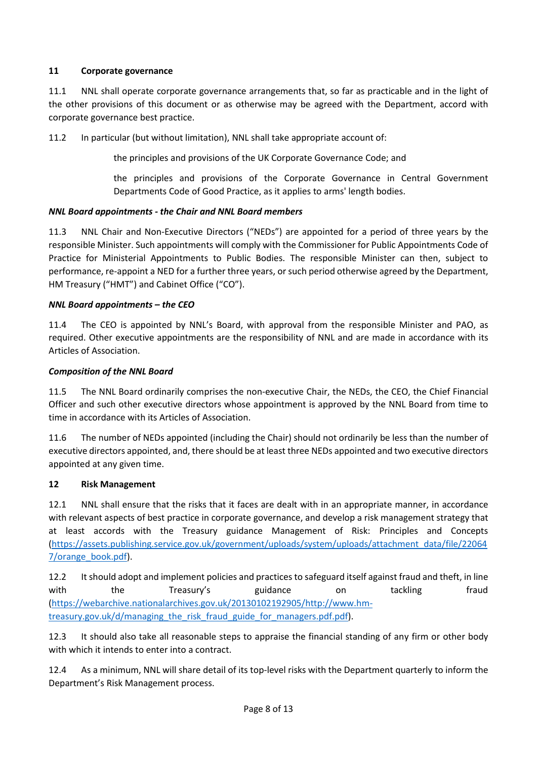## **11 Corporate governance**

11.1 NNL shall operate corporate governance arrangements that, so far as practicable and in the light of the other provisions of this document or as otherwise may be agreed with the Department, accord with corporate governance best practice.

11.2 In particular (but without limitation), NNL shall take appropriate account of:

the principles and provisions of the UK Corporate Governance Code; and

the principles and provisions of the Corporate Governance in Central Government Departments Code of Good Practice, as it applies to arms' length bodies.

## *NNL Board appointments - the Chair and NNL Board members*

11.3 NNL Chair and Non-Executive Directors ("NEDs") are appointed for a period of three years by the responsible Minister. Such appointments will comply with the Commissioner for Public Appointments Code of Practice for Ministerial Appointments to Public Bodies. The responsible Minister can then, subject to performance, re-appoint a NED for a further three years, or such period otherwise agreed by the Department, HM Treasury ("HMT") and Cabinet Office ("CO").

## *NNL Board appointments – the CEO*

11.4 The CEO is appointed by NNL's Board, with approval from the responsible Minister and PAO, as required. Other executive appointments are the responsibility of NNL and are made in accordance with its Articles of Association.

## *Composition of the NNL Board*

11.5 The NNL Board ordinarily comprises the non-executive Chair, the NEDs, the CEO, the Chief Financial Officer and such other executive directors whose appointment is approved by the NNL Board from time to time in accordance with its Articles of Association.

11.6 The number of NEDs appointed (including the Chair) should not ordinarily be less than the number of executive directors appointed, and, there should be at least three NEDs appointed and two executive directors appointed at any given time.

## **12 Risk Management**

12.1 NNL shall ensure that the risks that it faces are dealt with in an appropriate manner, in accordance with relevant aspects of best practice in corporate governance, and develop a risk management strategy that at least accords with the Treasury guidance Management of Risk: Principles and Concepts [\(https://assets.publishing.service.gov.uk/government/uploads/system/uploads/attachment\\_data/file/22064](https://assets.publishing.service.gov.uk/government/uploads/system/uploads/attachment_data/file/220647/orange_book.pdf) [7/orange\\_book.pdf\)](https://assets.publishing.service.gov.uk/government/uploads/system/uploads/attachment_data/file/220647/orange_book.pdf).

12.2 It should adopt and implement policies and practices to safeguard itself against fraud and theft, in line with the Treasury's guidance on tackling fraud [\(https://webarchive.nationalarchives.gov.uk/20130102192905/http://www.hm](https://webarchive.nationalarchives.gov.uk/20130102192905/http:/www.hm-treasury.gov.uk/d/managing_the_risk_fraud_guide_for_managers.pdf.pdf)[treasury.gov.uk/d/managing\\_the\\_risk\\_fraud\\_guide\\_for\\_managers.pdf.pdf\)](https://webarchive.nationalarchives.gov.uk/20130102192905/http:/www.hm-treasury.gov.uk/d/managing_the_risk_fraud_guide_for_managers.pdf.pdf).

12.3 It should also take all reasonable steps to appraise the financial standing of any firm or other body with which it intends to enter into a contract.

12.4 As a minimum, NNL will share detail of its top-level risks with the Department quarterly to inform the Department's Risk Management process.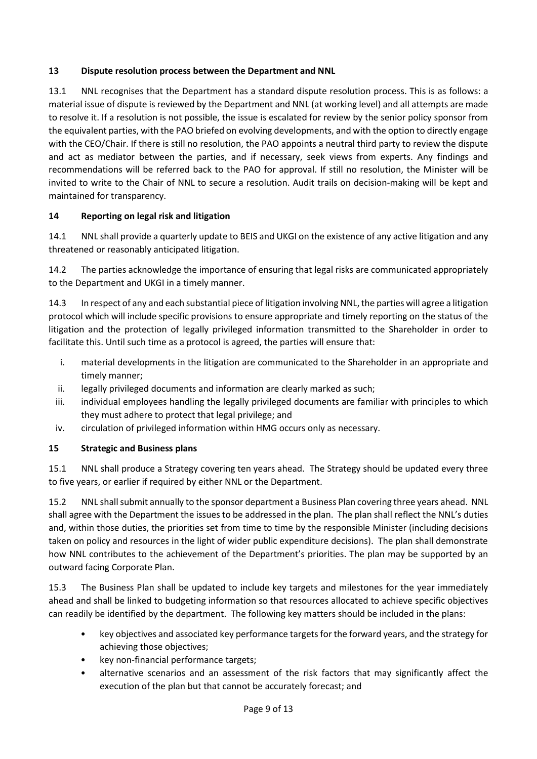## **13 Dispute resolution process between the Department and NNL**

13.1 NNL recognises that the Department has a standard dispute resolution process. This is as follows: a material issue of dispute is reviewed by the Department and NNL (at working level) and all attempts are made to resolve it. If a resolution is not possible, the issue is escalated for review by the senior policy sponsor from the equivalent parties, with the PAO briefed on evolving developments, and with the option to directly engage with the CEO/Chair. If there is still no resolution, the PAO appoints a neutral third party to review the dispute and act as mediator between the parties, and if necessary, seek views from experts. Any findings and recommendations will be referred back to the PAO for approval. If still no resolution, the Minister will be invited to write to the Chair of NNL to secure a resolution. Audit trails on decision-making will be kept and maintained for transparency.

# **14 Reporting on legal risk and litigation**

14.1 NNL shall provide a quarterly update to BEIS and UKGI on the existence of any active litigation and any threatened or reasonably anticipated litigation.

14.2 The parties acknowledge the importance of ensuring that legal risks are communicated appropriately to the Department and UKGI in a timely manner.

14.3 In respect of any and each substantial piece of litigation involving NNL, the parties will agree a litigation protocol which will include specific provisions to ensure appropriate and timely reporting on the status of the litigation and the protection of legally privileged information transmitted to the Shareholder in order to facilitate this. Until such time as a protocol is agreed, the parties will ensure that:

- i. material developments in the litigation are communicated to the Shareholder in an appropriate and timely manner;
- ii. legally privileged documents and information are clearly marked as such;
- iii. individual employees handling the legally privileged documents are familiar with principles to which they must adhere to protect that legal privilege; and
- iv. circulation of privileged information within HMG occurs only as necessary.

## **15 Strategic and Business plans**

15.1 NNL shall produce a Strategy covering ten years ahead. The Strategy should be updated every three to five years, or earlier if required by either NNL or the Department.

15.2 NNL shall submit annually to the sponsor department a Business Plan covering three years ahead. NNL shall agree with the Department the issues to be addressed in the plan. The plan shall reflect the NNL's duties and, within those duties, the priorities set from time to time by the responsible Minister (including decisions taken on policy and resources in the light of wider public expenditure decisions). The plan shall demonstrate how NNL contributes to the achievement of the Department's priorities. The plan may be supported by an outward facing Corporate Plan.

15.3 The Business Plan shall be updated to include key targets and milestones for the year immediately ahead and shall be linked to budgeting information so that resources allocated to achieve specific objectives can readily be identified by the department. The following key matters should be included in the plans:

- key objectives and associated key performance targets for the forward years, and the strategy for achieving those objectives;
- key non-financial performance targets;
- alternative scenarios and an assessment of the risk factors that may significantly affect the execution of the plan but that cannot be accurately forecast; and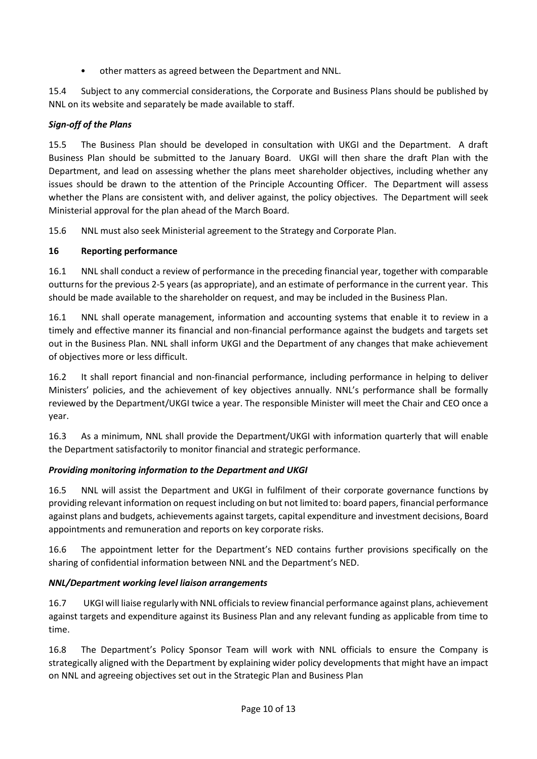• other matters as agreed between the Department and NNL.

15.4 Subject to any commercial considerations, the Corporate and Business Plans should be published by NNL on its website and separately be made available to staff.

# *Sign-off of the Plans*

15.5 The Business Plan should be developed in consultation with UKGI and the Department. A draft Business Plan should be submitted to the January Board. UKGI will then share the draft Plan with the Department, and lead on assessing whether the plans meet shareholder objectives, including whether any issues should be drawn to the attention of the Principle Accounting Officer. The Department will assess whether the Plans are consistent with, and deliver against, the policy objectives. The Department will seek Ministerial approval for the plan ahead of the March Board.

15.6 NNL must also seek Ministerial agreement to the Strategy and Corporate Plan.

## **16 Reporting performance**

16.1 NNL shall conduct a review of performance in the preceding financial year, together with comparable outturns for the previous 2-5 years (as appropriate), and an estimate of performance in the current year. This should be made available to the shareholder on request, and may be included in the Business Plan.

16.1 NNL shall operate management, information and accounting systems that enable it to review in a timely and effective manner its financial and non-financial performance against the budgets and targets set out in the Business Plan. NNL shall inform UKGI and the Department of any changes that make achievement of objectives more or less difficult.

16.2 It shall report financial and non-financial performance, including performance in helping to deliver Ministers' policies, and the achievement of key objectives annually. NNL's performance shall be formally reviewed by the Department/UKGI twice a year. The responsible Minister will meet the Chair and CEO once a year.

16.3 As a minimum, NNL shall provide the Department/UKGI with information quarterly that will enable the Department satisfactorily to monitor financial and strategic performance.

# *Providing monitoring information to the Department and UKGI*

16.5 NNL will assist the Department and UKGI in fulfilment of their corporate governance functions by providing relevant information on request including on but not limited to: board papers, financial performance against plans and budgets, achievements against targets, capital expenditure and investment decisions, Board appointments and remuneration and reports on key corporate risks.

16.6 The appointment letter for the Department's NED contains further provisions specifically on the sharing of confidential information between NNL and the Department's NED.

# *NNL/Department working level liaison arrangements*

16.7 UKGI will liaise regularly with NNL officials to review financial performance against plans, achievement against targets and expenditure against its Business Plan and any relevant funding as applicable from time to time.

16.8 The Department's Policy Sponsor Team will work with NNL officials to ensure the Company is strategically aligned with the Department by explaining wider policy developments that might have an impact on NNL and agreeing objectives set out in the Strategic Plan and Business Plan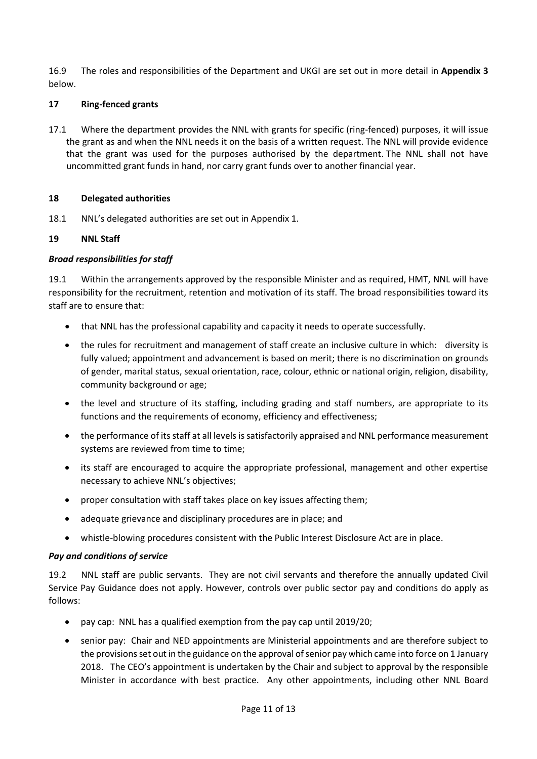16.9 The roles and responsibilities of the Department and UKGI are set out in more detail in **Appendix 3** below.

## **17 Ring-fenced grants**

17.1 Where the department provides the NNL with grants for specific (ring-fenced) purposes, it will issue the grant as and when the NNL needs it on the basis of a written request. The NNL will provide evidence that the grant was used for the purposes authorised by the department. The NNL shall not have uncommitted grant funds in hand, nor carry grant funds over to another financial year.

## **18 Delegated authorities**

18.1 NNL's delegated authorities are set out in Appendix 1.

## **19 NNL Staff**

## *Broad responsibilities for staff*

19.1 Within the arrangements approved by the responsible Minister and as required, HMT, NNL will have responsibility for the recruitment, retention and motivation of its staff. The broad responsibilities toward its staff are to ensure that:

- that NNL has the professional capability and capacity it needs to operate successfully.
- the rules for recruitment and management of staff create an inclusive culture in which: diversity is fully valued; appointment and advancement is based on merit; there is no discrimination on grounds of gender, marital status, sexual orientation, race, colour, ethnic or national origin, religion, disability, community background or age;
- the level and structure of its staffing, including grading and staff numbers, are appropriate to its functions and the requirements of economy, efficiency and effectiveness;
- the performance of its staff at all levels is satisfactorily appraised and NNL performance measurement systems are reviewed from time to time;
- its staff are encouraged to acquire the appropriate professional, management and other expertise necessary to achieve NNL's objectives;
- proper consultation with staff takes place on key issues affecting them;
- adequate grievance and disciplinary procedures are in place; and
- whistle-blowing procedures consistent with the Public Interest Disclosure Act are in place.

## *Pay and conditions of service*

19.2 NNL staff are public servants. They are not civil servants and therefore the annually updated Civil Service Pay Guidance does not apply. However, controls over public sector pay and conditions do apply as follows:

- pay cap: NNL has a qualified exemption from the pay cap until 2019/20;
- senior pay: Chair and NED appointments are Ministerial appointments and are therefore subject to the provisions set out in the guidance on the approval of senior pay which came into force on 1 January 2018. The CEO's appointment is undertaken by the Chair and subject to approval by the responsible Minister in accordance with best practice. Any other appointments, including other NNL Board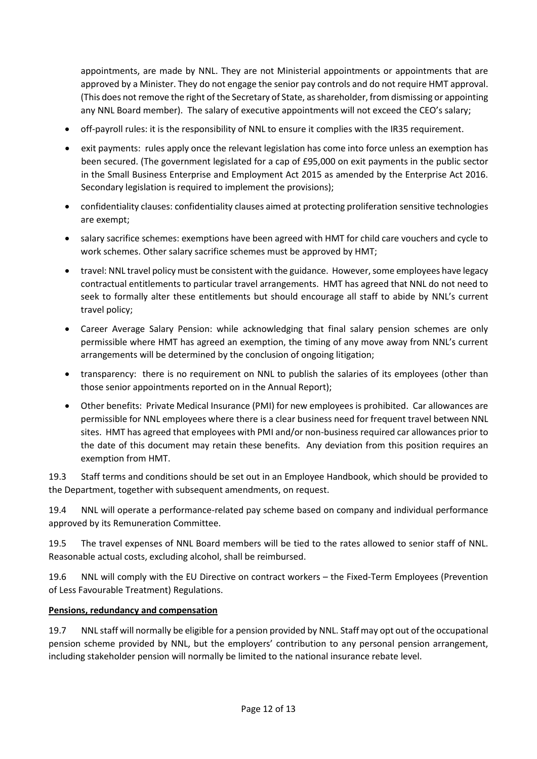appointments, are made by NNL. They are not Ministerial appointments or appointments that are approved by a Minister. They do not engage the senior pay controls and do not require HMT approval. (This does not remove the right of the Secretary of State, as shareholder, from dismissing or appointing any NNL Board member). The salary of executive appointments will not exceed the CEO's salary;

- off-payroll rules: it is the responsibility of NNL to ensure it complies with the IR35 requirement.
- exit payments: rules apply once the relevant legislation has come into force unless an exemption has been secured. (The government legislated for a cap of £95,000 on exit payments in the public sector in the Small Business Enterprise and Employment Act 2015 as amended by the Enterprise Act 2016. Secondary legislation is required to implement the provisions);
- confidentiality clauses: confidentiality clauses aimed at protecting proliferation sensitive technologies are exempt;
- salary sacrifice schemes: exemptions have been agreed with HMT for child care vouchers and cycle to work schemes. Other salary sacrifice schemes must be approved by HMT;
- travel: NNL travel policy must be consistent with the guidance. However, some employees have legacy contractual entitlements to particular travel arrangements. HMT has agreed that NNL do not need to seek to formally alter these entitlements but should encourage all staff to abide by NNL's current travel policy;
- Career Average Salary Pension: while acknowledging that final salary pension schemes are only permissible where HMT has agreed an exemption, the timing of any move away from NNL's current arrangements will be determined by the conclusion of ongoing litigation;
- transparency: there is no requirement on NNL to publish the salaries of its employees (other than those senior appointments reported on in the Annual Report);
- Other benefits: Private Medical Insurance (PMI) for new employees is prohibited. Car allowances are permissible for NNL employees where there is a clear business need for frequent travel between NNL sites. HMT has agreed that employees with PMI and/or non-business required car allowances prior to the date of this document may retain these benefits. Any deviation from this position requires an exemption from HMT.

19.3 Staff terms and conditions should be set out in an Employee Handbook, which should be provided to the Department, together with subsequent amendments, on request.

19.4 NNL will operate a performance-related pay scheme based on company and individual performance approved by its Remuneration Committee.

19.5 The travel expenses of NNL Board members will be tied to the rates allowed to senior staff of NNL. Reasonable actual costs, excluding alcohol, shall be reimbursed.

19.6 NNL will comply with the EU Directive on contract workers – the Fixed-Term Employees (Prevention of Less Favourable Treatment) Regulations.

## **Pensions, redundancy and compensation**

19.7 NNL staff will normally be eligible for a pension provided by NNL. Staff may opt out of the occupational pension scheme provided by NNL, but the employers' contribution to any personal pension arrangement, including stakeholder pension will normally be limited to the national insurance rebate level.